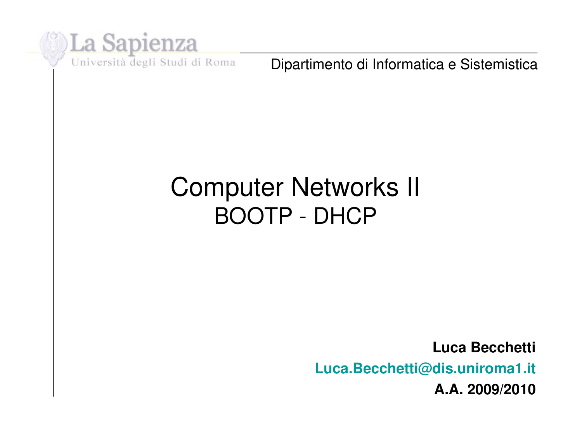

Dipartimento di Informatica e Sistemistica

#### Computer Networks II BOOTP - DHCP

**Luca Becchetti Luca.Becchetti@dis.uniroma1.it A.A. 2009/2010**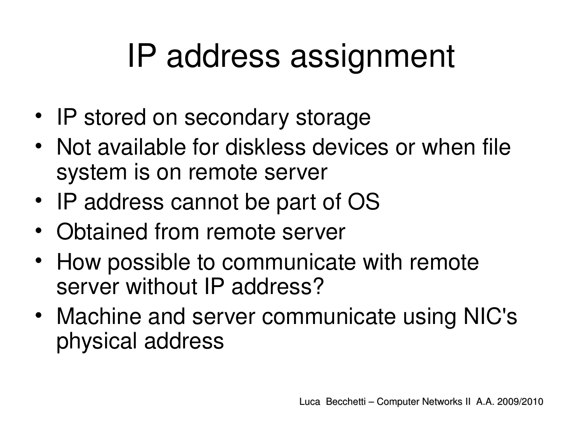### IP address assignment

- IP stored on secondary storage
- Not available for diskless devices or when file system is on remote server
- IP address cannot be part of OS
- Obtained from remote server
- How possible to communicate with remote server without IP address?
- Machine and server communicate using NIC's physical address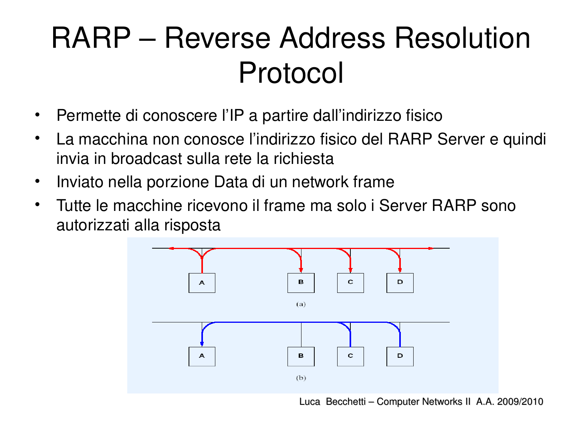#### RARP – Reverse Address Resolution Protocol

- Permette di conoscere l'IP a partire dall'indirizzo fisico
- La macchina non conosce l'indirizzo fisico del RARP Server e quindi invia in broadcast sulla rete la richiesta
- Inviato nella porzione Data di un network frame
- Tutte le macchine ricevono il frame ma solo i Server RARP sono autorizzati alla risposta



Luca Becchetti – Computer Networks II A.A. 2009/2010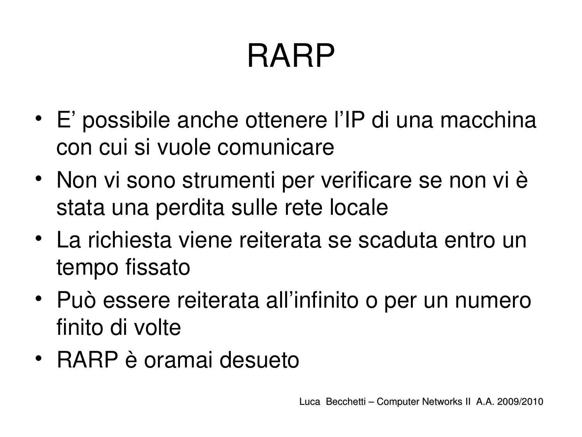## RARP

- E' possibile anche ottenere l'IP di una macchina con cui si vuole comunicare
- Non vi sono strumenti per verificare se non vi è stata una perdita sulle rete locale
- La richiesta viene reiterata se scaduta entro un tempo fissato
- Può essere reiterata all'infinito o per un numero finito di volte
- RARP è oramai desueto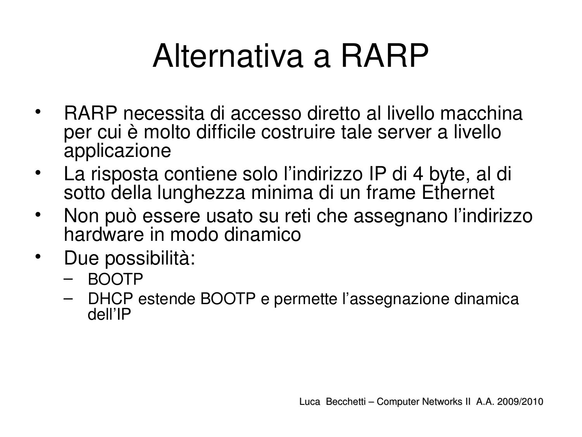## Alternativa a RARP

- RARP necessita di accesso diretto al livello macchina per cui è molto difficile costruire tale server a livello applicazione
- La risposta contiene solo l'indirizzo IP di 4 byte, al di sotto della lunghezza minima di un frame Ethernet
- Non può essere usato su reti che assegnano l'indirizzo hardware in modo dinamico
- Due possibilità:
	- BOOTP
	- DHCP estende BOOTP e permette l'assegnazione dinamica dell'IP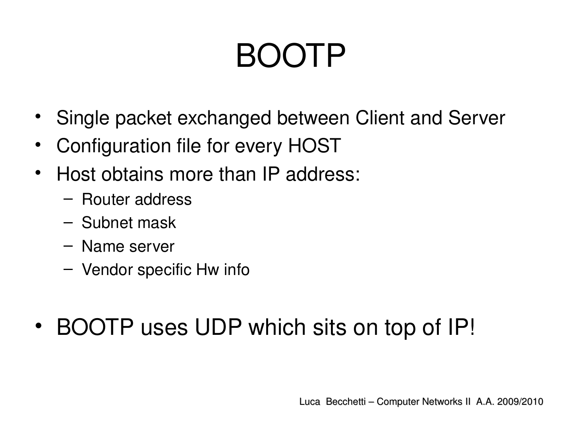## BOOTP

- Single packet exchanged between Client and Server
- Configuration file for every HOST
- Host obtains more than IP address:
	- Router address
	- Subnet mask
	- Name server
	- Vendor specific Hw info
- BOOTP uses UDP which sits on top of IP!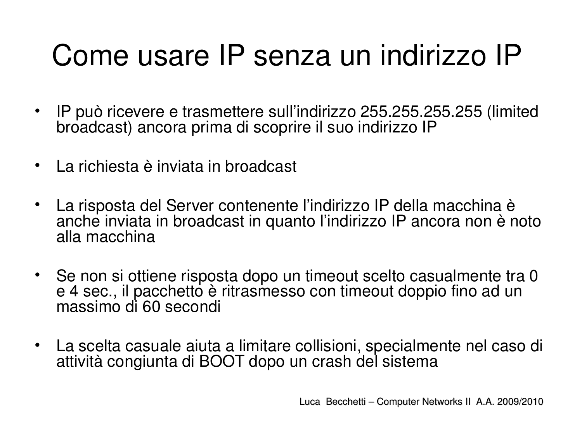#### Come usare IP senza un indirizzo IP

- IP può ricevere e trasmettere sull'indirizzo 255.255.255.255 (limited broadcast) ancora prima di scoprire il suo indirizzo IP
- La richiesta è inviata in broadcast
- La risposta del Server contenente l'indirizzo IP della macchina è anche inviata in broadcast in quanto l'indirizzo IP ancora non è noto alla macchina
- Se non si ottiene risposta dopo un timeout scelto casualmente tra 0 e 4 sec., il pacchetto è ritrasmesso con timeout doppio fino ad un massimo di 60 secondi
- La scelta casuale aiuta a limitare collisioni, specialmente nel caso di attività congiunta di BOOT dopo un crash del sistema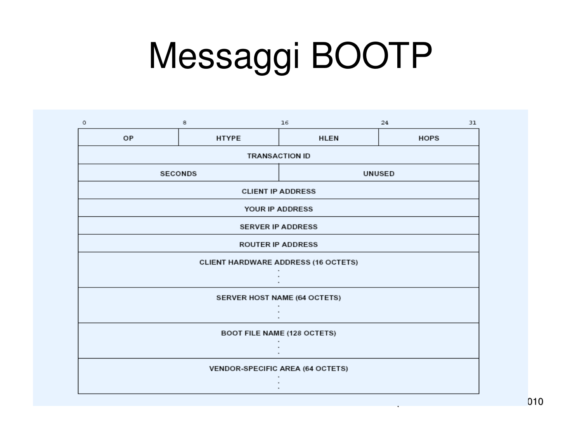# Messaggi BOOTP

| o                                          | 8            | 16            | 24<br>31    |  |  |  |  |
|--------------------------------------------|--------------|---------------|-------------|--|--|--|--|
| OP                                         | <b>HTYPE</b> | <b>HLEN</b>   | <b>HOPS</b> |  |  |  |  |
| <b>TRANSACTION ID</b>                      |              |               |             |  |  |  |  |
| <b>SECONDS</b>                             |              | <b>UNUSED</b> |             |  |  |  |  |
| <b>CLIENT IP ADDRESS</b>                   |              |               |             |  |  |  |  |
| YOUR IP ADDRESS                            |              |               |             |  |  |  |  |
| <b>SERVER IP ADDRESS</b>                   |              |               |             |  |  |  |  |
| <b>ROUTER IP ADDRESS</b>                   |              |               |             |  |  |  |  |
| <b>CLIENT HARDWARE ADDRESS (16 OCTETS)</b> |              |               |             |  |  |  |  |
|                                            |              |               |             |  |  |  |  |
| SERVER HOST NAME (64 OCTETS)               |              |               |             |  |  |  |  |
|                                            |              |               |             |  |  |  |  |
| <b>BOOT FILE NAME (128 OCTETS)</b>         |              |               |             |  |  |  |  |
|                                            |              |               |             |  |  |  |  |
| VENDOR-SPECIFIC AREA (64 OCTETS)           |              |               |             |  |  |  |  |
|                                            |              |               |             |  |  |  |  |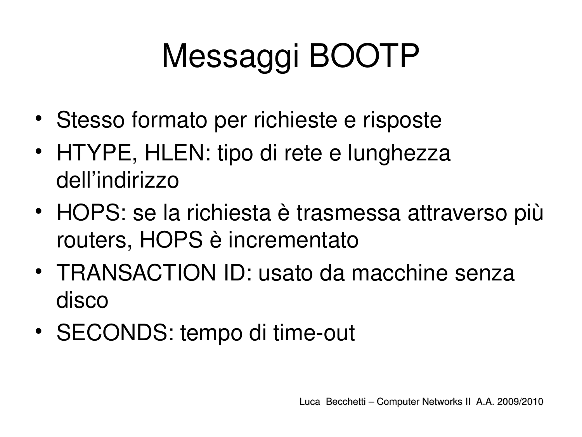# Messaggi BOOTP

- Stesso formato per richieste e risposte
- HTYPE, HLEN: tipo di rete e lunghezza dell'indirizzo
- HOPS: se la richiesta è trasmessa attraverso più routers, HOPS è incrementato
- TRANSACTION ID: usato da macchine senza disco
- SECONDS: tempo di time-out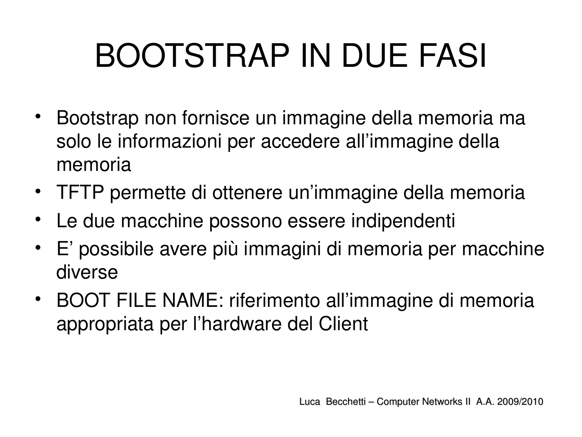# BOOTSTRAP IN DUE FASI

- Bootstrap non fornisce un immagine della memoria ma solo le informazioni per accedere all'immagine della memoria
- TFTP permette di ottenere un'immagine della memoria
- Le due macchine possono essere indipendenti
- E' possibile avere più immagini di memoria per macchine diverse
- BOOT FILE NAME: riferimento all'immagine di memoria appropriata per l'hardware del Client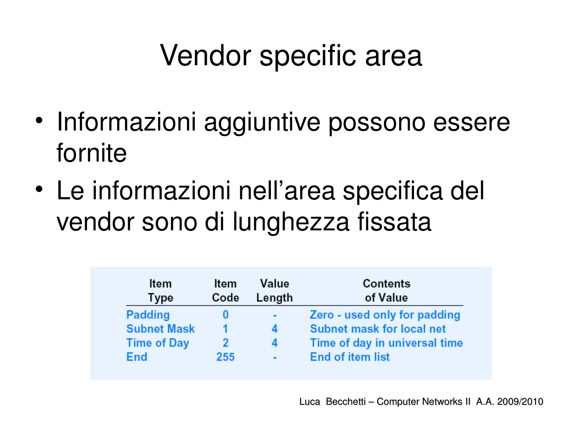#### Vendor specific area

- Informazioni aggiuntive possono essere fornite
- Le informazioni nell'area specifica del vendor sono di lunghezza fissata

| ltem<br>Type       | Item<br>Code | Value<br>Length | Contents<br>of Value             |
|--------------------|--------------|-----------------|----------------------------------|
| Padding            |              | $\blacksquare$  | Zero - used only for padding     |
| <b>Subnet Mask</b> |              | 4               | <b>Subnet mask for local net</b> |
| <b>Time of Day</b> |              | 4               | Time of day in universal time    |
| End                | 255          | $\blacksquare$  | <b>End of item list</b>          |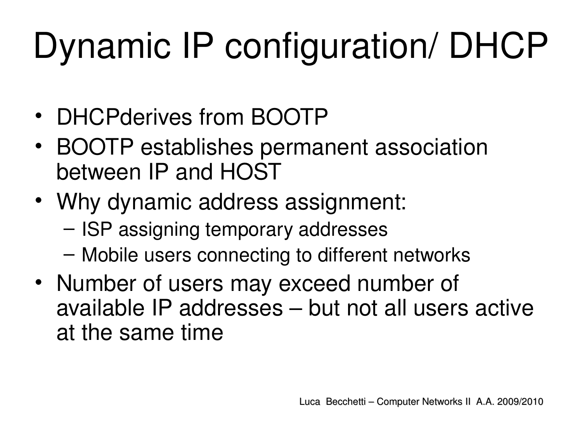# Dynamic IP configuration/ DHCP

- DHCPderives from BOOTP
- BOOTP establishes permanent association between IP and HOST
- Why dynamic address assignment:
	- ISP assigning temporary addresses
	- Mobile users connecting to different networks
- Number of users may exceed number of available IP addresses – but not all users active at the same time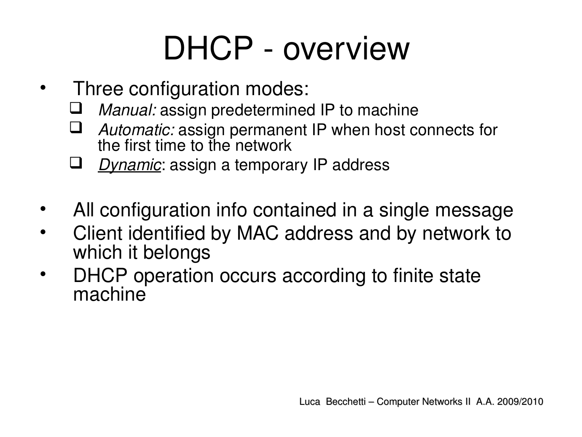## DHCP - overview

- Three configuration modes:
	- *Manual:* assign predetermined IP to machine
	- *Automatic:* assign permanent IP when host connects for the first time to the network
	- *Dynamic*: assign a temporary IP address
- All configuration info contained in a single message
- Client identified by MAC address and by network to which it belongs
- DHCP operation occurs according to finite state machine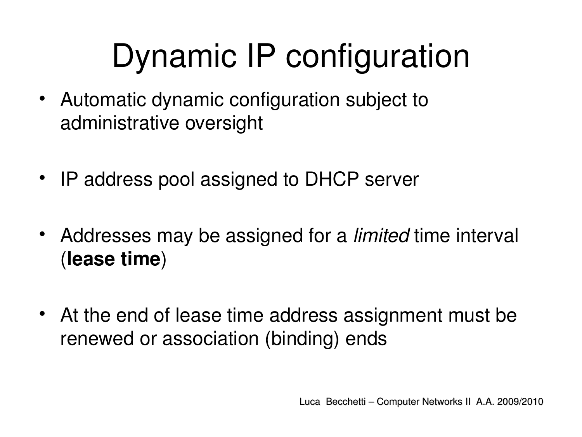# Dynamic IP configuration

- Automatic dynamic configuration subject to administrative oversight
- IP address pool assigned to DHCP server
- Addresses may be assigned for a *limited* time interval (**lease time**)
- At the end of lease time address assignment must be renewed or association (binding) ends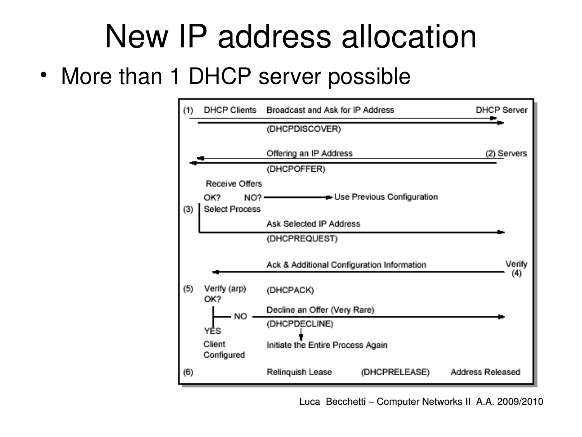#### New IP address allocation

• More than 1 DHCP server possible



Luca Becchetti – Computer Networks II A.A. 2009/2010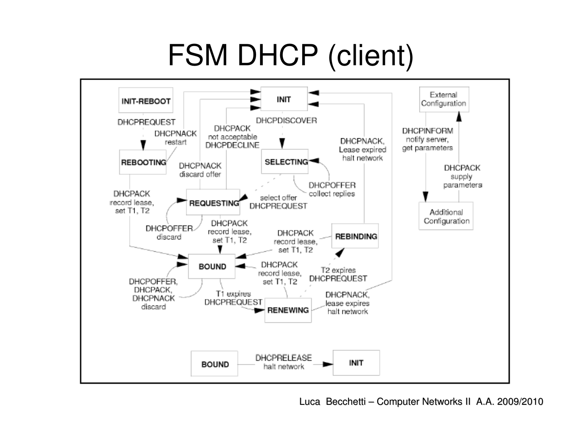#### FSM DHCP (client)



Luca Becchetti – Computer Networks II A.A. 2009/2010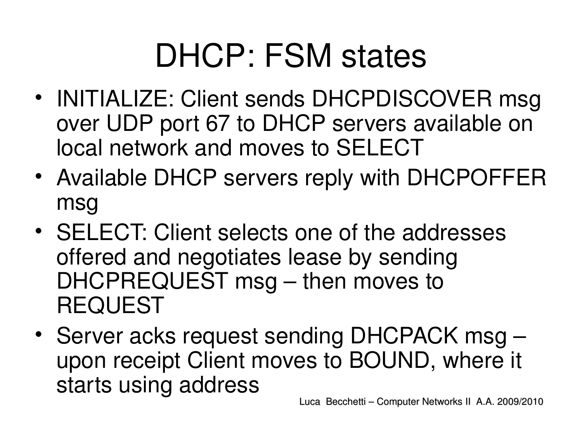#### DHCP: FSM states

- INITIALIZE: Client sends DHCPDISCOVER msg over UDP port 67 to DHCP servers available on local network and moves to SELECT
- Available DHCP servers reply with DHCPOFFER msg
- SELECT: Client selects one of the addresses offered and negotiates lease by sending DHCPREQUEST msg – then moves to REQUEST
- Server acks request sending DHCPACK msg upon receipt Client moves to BOUND, where it starts using address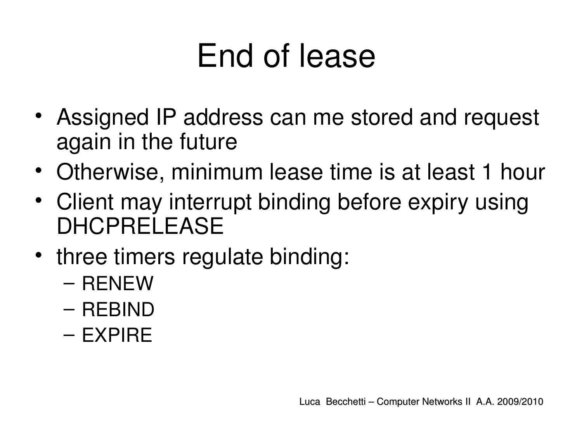## End of lease

- Assigned IP address can me stored and request again in the future
- Otherwise, minimum lease time is at least 1 hour
- Client may interrupt binding before expiry using DHCPRELEASE
- three timers regulate binding:
	- RENEW
	- REBIND
	- EXPIRE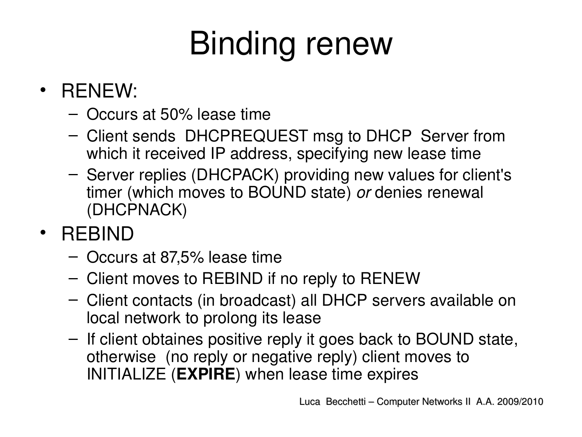# Binding renew

- RENEW:
	- Occurs at 50% lease time
	- Client sends DHCPREQUEST msg to DHCP Server from which it received IP address, specifying new lease time
	- Server replies (DHCPACK) providing new values for client's timer (which moves to BOUND state) *or* denies renewal (DHCPNACK)
- REBIND
	- Occurs at 87,5% lease time
	- Client moves to REBIND if no reply to RENEW
	- Client contacts (in broadcast) all DHCP servers available on local network to prolong its lease
	- If client obtaines positive reply it goes back to BOUND state, otherwise (no reply or negative reply) client moves to INITIALIZE (**EXPIRE**) when lease time expires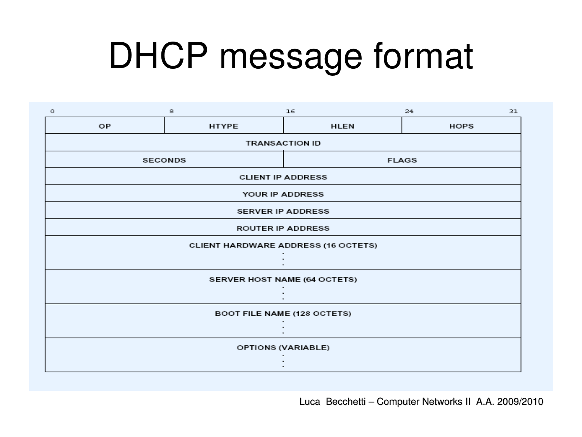# DHCP message format

| o                                          | 8            | 16           | 24<br>31    |  |  |  |  |
|--------------------------------------------|--------------|--------------|-------------|--|--|--|--|
| OP                                         | <b>HTYPE</b> | <b>HLEN</b>  | <b>HOPS</b> |  |  |  |  |
| <b>TRANSACTION ID</b>                      |              |              |             |  |  |  |  |
| <b>SECONDS</b>                             |              | <b>FLAGS</b> |             |  |  |  |  |
| <b>CLIENT IP ADDRESS</b>                   |              |              |             |  |  |  |  |
| YOUR IP ADDRESS                            |              |              |             |  |  |  |  |
| <b>SERVER IP ADDRESS</b>                   |              |              |             |  |  |  |  |
| <b>ROUTER IP ADDRESS</b>                   |              |              |             |  |  |  |  |
| <b>CLIENT HARDWARE ADDRESS (16 OCTETS)</b> |              |              |             |  |  |  |  |
|                                            |              |              |             |  |  |  |  |
| SERVER HOST NAME (64 OCTETS)               |              |              |             |  |  |  |  |
|                                            |              |              |             |  |  |  |  |
| <b>BOOT FILE NAME (128 OCTETS)</b>         |              |              |             |  |  |  |  |
|                                            |              |              |             |  |  |  |  |
| OPTIONS (VARIABLE)                         |              |              |             |  |  |  |  |
|                                            |              |              |             |  |  |  |  |
|                                            |              |              |             |  |  |  |  |

Luca Becchetti – Computer Networks II A.A. 2009/2010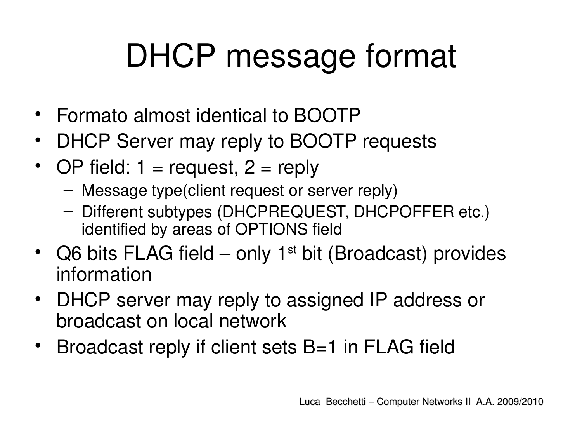## DHCP message format

- Formato almost identical to BOOTP
- DHCP Server may reply to BOOTP requests
- OP field:  $1 =$  request,  $2 =$  reply
	- Message type(client request or server reply)
	- Different subtypes (DHCPREQUEST, DHCPOFFER etc.) identified by areas of OPTIONS field
- Q6 bits FLAG field only 1<sup>st</sup> bit (Broadcast) provides information
- DHCP server may reply to assigned IP address or broadcast on local network
- Broadcast reply if client sets B=1 in FLAG field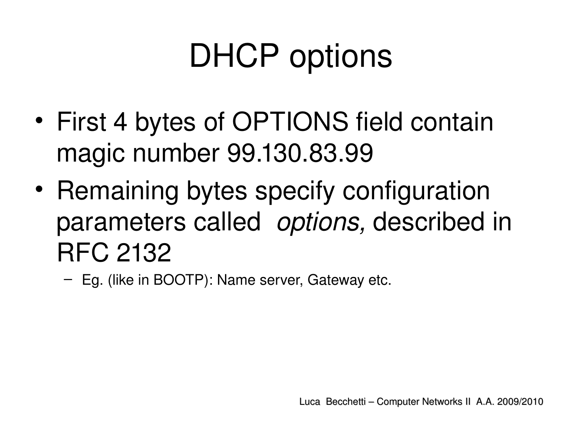## DHCP options

- First 4 bytes of OPTIONS field contain magic number 99.130.83.99
- Remaining bytes specify configuration parameters called  *options,* described in RFC 2132
	- Eg. (like in BOOTP): Name server, Gateway etc.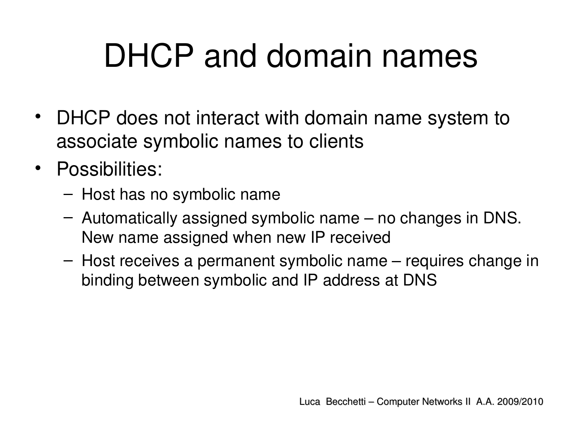## DHCP and domain names

- DHCP does not interact with domain name system to associate symbolic names to clients
- Possibilities:
	- Host has no symbolic name
	- Automatically assigned symbolic name no changes in DNS. New name assigned when new IP received
	- Host receives a permanent symbolic name requires change in binding between symbolic and IP address at DNS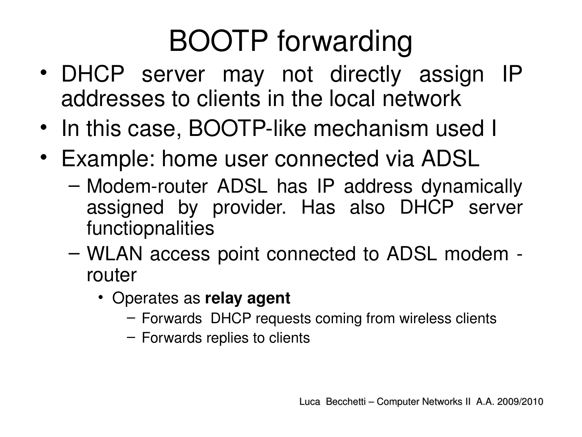#### BOOTP forwarding

- DHCP server may not directly assign IP addresses to clients in the local network
- In this case, BOOTP-like mechanism used I
- Example: home user connected via ADSL
	- Modem-router ADSL has IP address dynamically assigned by provider. Has also DHCP server functiopnalities
	- WLAN access point connected to ADSL modem router
		- Operates as **relay agent**
			- Forwards DHCP requests coming from wireless clients
			- Forwards replies to clients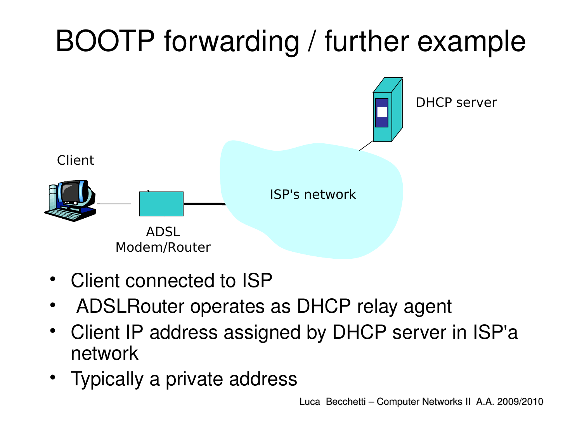#### BOOTP forwarding / further example



- Client connected to ISP
- ADSLRouter operates as DHCP relay agent
- Client IP address assigned by DHCP server in ISP'a network
- Typically a private address